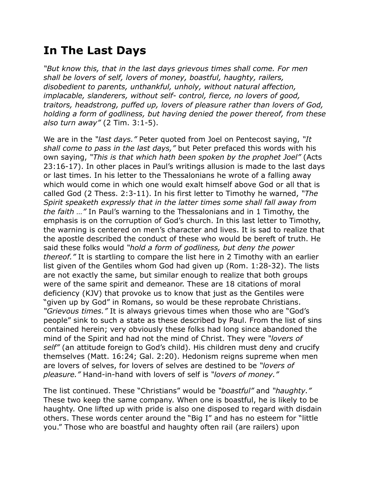## **In The Last Days**

*"But know this, that in the last days grievous times shall come. For men shall be lovers of self, lovers of money, boastful, haughty, railers, disobedient to parents, unthankful, unholy, without natural affection, implacable, slanderers, without self- control, fierce, no lovers of good, traitors, headstrong, puffed up, lovers of pleasure rather than lovers of God, holding a form of godliness, but having denied the power thereof, from these also turn away"* (2 Tim. 3:1-5).

We are in the *"last days."* Peter quoted from Joel on Pentecost saying, *"It shall come to pass in the last days,"* but Peter prefaced this words with his own saying, *"This is that which hath been spoken by the prophet Joel"* (Acts 23:16-17). In other places in Paul's writings allusion is made to the last days or last times. In his letter to the Thessalonians he wrote of a falling away which would come in which one would exalt himself above God or all that is called God (2 Thess. 2:3-11). In his first letter to Timothy he warned, *"The Spirit speaketh expressly that in the latter times some shall fall away from the faith …"* In Paul's warning to the Thessalonians and in 1 Timothy, the emphasis is on the corruption of God's church. In this last letter to Timothy, the warning is centered on men's character and lives. It is sad to realize that the apostle described the conduct of these who would be bereft of truth. He said these folks would *"hold a form of godliness, but deny the power thereof."* It is startling to compare the list here in 2 Timothy with an earlier list given of the Gentiles whom God had given up (Rom. 1:28-32). The lists are not exactly the same, but similar enough to realize that both groups were of the same spirit and demeanor. These are 18 citations of moral deficiency (KJV) that provoke us to know that just as the Gentiles were "given up by God" in Romans, so would be these reprobate Christians. *"Grievous times."* It is always grievous times when those who are "God's people" sink to such a state as these described by Paul. From the list of sins contained herein; very obviously these folks had long since abandoned the mind of the Spirit and had not the mind of Christ. They were *"lovers of self"* (an attitude foreign to God's child). His children must deny and crucify themselves (Matt. 16:24; Gal. 2:20). Hedonism reigns supreme when men are lovers of selves, for lovers of selves are destined to be *"lovers of pleasure."* Hand-in-hand with lovers of self is *"lovers of money."*

The list continued. These "Christians" would be *"boastful"* and *"haughty."* These two keep the same company. When one is boastful, he is likely to be haughty. One lifted up with pride is also one disposed to regard with disdain others. These words center around the "Big I" and has no esteem for "little you." Those who are boastful and haughty often rail (are railers) upon